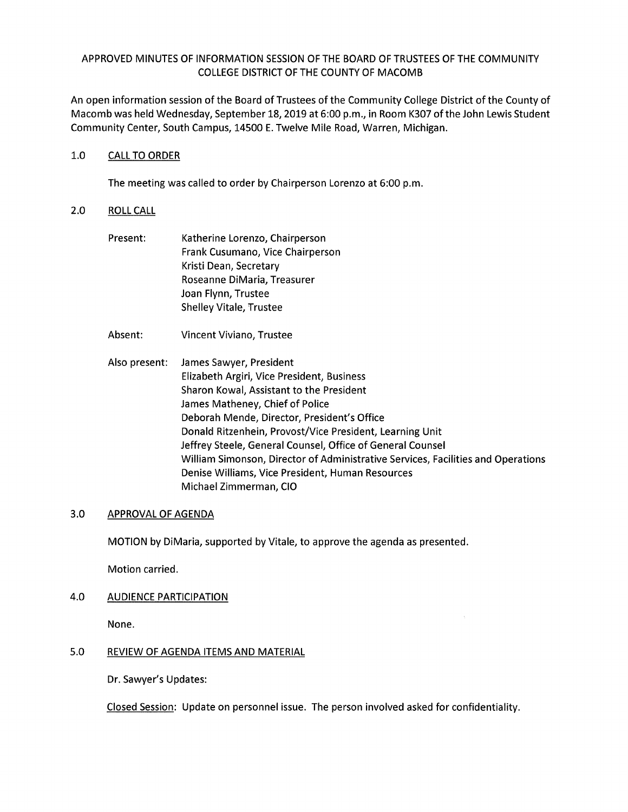## APPROVED MINUTES OF INFORMATION SESSION OF THE BOARD OF TRUSTEES OF THE COMMUNITY COLLEGE DISTRICT OF THE COUNTY OF MACOMB

An open information session of the Board of Trustees of the Community College District of the County of Macomb was held Wednesday, September 18, 2019 at 6:00 p.m., in Room K307 of the John Lewis Student Community Center, South Campus, 14500 E. Twelve Mile Road, Warren, Michigan.

#### 1.0 CALL TO ORDER

The meeting was called to order by Chairperson Lorenzo at 6:00 p.m.

#### 2.0 ROLL CALL

- Present: Katherine Lorenzo, Chairperson Frank Cusumano, Vice Chairperson Kristi Dean, Secretary Roseanne DiMaria, Treasurer Joan Flynn, Trustee Shelley Vitale, Trustee
- Absent: Vincent Viviano, Trustee
- Also present: James Sawyer, President Elizabeth Argiri, Vice President, Business Sharon Kowal, Assistant to the President James Matheney, Chief of Police Deborah Mende, Director, President's Office Donald Ritzenhein, Provost/Vice President, Learning Unit Jeffrey Steele, General Counsel, Office of General Counsel William Simonson, Director of Administrative Services, Facilities and Operations Denise Williams, Vice President, Human Resources Michael Zimmerman, CIO

## 3.0 APPROVAL OF AGENDA

MOTION by DiMaria, supported by Vitale, to approve the agenda as presented.

Motion carried.

## 4.0 AUDIENCE PARTICIPATION

None.

# 5.0 REVIEW OF AGENDA ITEMS AND MATERIAL

Dr. Sawyer's Updates:

Closed Session: Update on personnel issue. The person involved asked for confidentiality.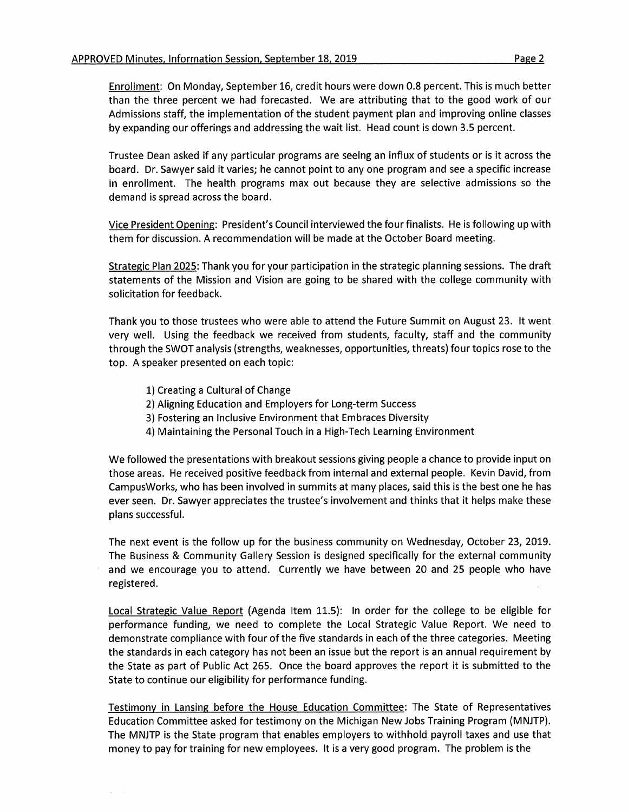Enrollment: On Monday, September 16, credit hours were down 0.8 percent. This is much better than the three percent we had forecasted. We are attributing that to the good work of our Admissions staff, the implementation of the student payment plan and improving online classes by expanding our offerings and addressing the wait list. Head count is down 3.5 percent.

Trustee Dean asked if any particular programs are seeing an influx of students or is it across the board. Dr. Sawyer said it varies; he cannot point to any one program and see a specific increase in enrollment. The health programs max out because they are selective admissions so the demand is spread across the board.

Vice President Opening: President's Council interviewed the four finalists. He is following up with them for discussion. A recommendation will be made at the October Board meeting.

Strategic Plan 2025: Thank you for your participation in the strategic planning sessions. The draft statements of the Mission and Vision are going to be shared with the college community with solicitation for feedback.

Thank you to those trustees who were able to attend the Future Summit on August 23. It went very well. Using the feedback we received from students, faculty, staff and the community through the SWOT analysis (strengths, weaknesses, opportunities, threats) four topics rose to the top. A speaker presented on each topic:

- 1) Creating a Cultural of Change
- 2) Aligning Education and Employers for Long-term Success
- 3) Fostering an Inclusive Environment that Embraces Diversity
- 4) Maintaining the Personal Touch in a High-Tech Learning Environment

We followed the presentations with breakout sessions giving people a chance to provide input on those areas. He received positive feedback from internal and external people. Kevin David, from CampusWorks, who has been involved in summits at many places, said this is the best one he has ever seen. Dr. Sawyer appreciates the trustee's involvement and thinks that it helps make these plans successful.

The next event is the follow up for the business community on Wednesday, October 23, 2019. The Business & Community Gallery Session is designed specifically for the external community and we encourage you to attend. Currently we have between 20 and 25 people who have registered.

Local Strategic Value Report (Agenda Item 11.5): In order for the college to be eligible for performance funding, we need to complete the Local Strategic Value Report. We need to demonstrate compliance with four of the five standards in each of the three categories. Meeting the standards in each category has not been an issue but the report is an annual requirement by the State as part of Public Act 265. Once the board approves the report it is submitted to the State to continue our eligibility for performance funding.

Testimony in Lansing before the House Education Committee: The State of Representatives Education Committee asked for testimony on the Michigan New Jobs Training Program (MNJTP). The MNJTP is the State program that enables employers to withhold payroll taxes and use that money to pay for training for new employees. It is a very good program. The problem is the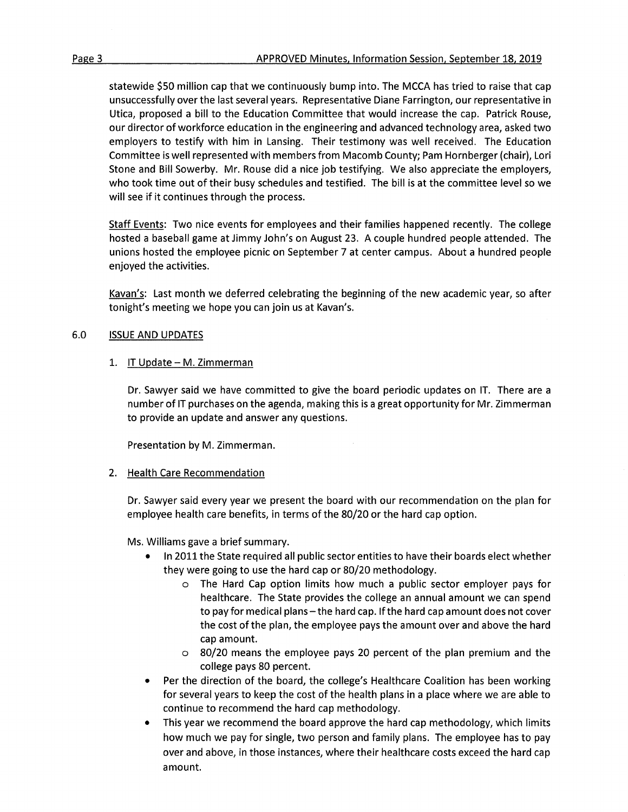statewide \$50 million cap that we continuously bump into. The MCCA has tried to raise that cap unsuccessfully over the last several years. Representative Diane Farrington, our representative in Utica, proposed a bill to the Education Committee that would increase the cap. Patrick Rouse, our director of workforce education in the engineering and advanced technology area, asked two employers to testify with him in Lansing. Their testimony was well received. The Education Committee is well represented with members from Macomb County; Pam Hornberger {chair), Lori Stone and Bill Sowerby. Mr. Rouse did a nice job testifying. We also appreciate the employers, who took time out of their busy schedules and testified. The bill is at the committee level so we will see if it continues through the process.

Staff Events: Two nice events for employees and their families happened recently. The college hosted a baseball game at Jimmy John's on August 23. A couple hundred people attended. The unions hosted the employee picnic on September 7 at center campus. About a hundred people enjoyed the activities.

Kavan's: Last month we deferred celebrating the beginning of the new academic year, so after tonight's meeting we hope you can join us at Kavan's.

## **6.0 ISSUE AND UPDATES**

# 1. IT Update - M. Zimmerman

Dr. Sawyer said we have committed to give the board periodic updates on IT. There are a number of IT purchases on the agenda, making this is a great opportunity for Mr. Zimmerman to provide an update and answer any questions.

Presentation by M. Zimmerman.

## 2. Health Care Recommendation

Dr. Sawyer said every year we present the board with our recommendation on the plan for employee health care benefits, in terms of the 80/20 or the hard cap option.

Ms. Williams gave a brief summary.

- In 2011 the State required all public sector entities to have their boards elect whether they were going to use the hard cap or 80/20 methodology.
	- o The Hard Cap option limits how much a public sector employer pays for healthcare. The State provides the college an annual amount we can spend to pay for medical plans – the hard cap. If the hard cap amount does not cover the cost of the plan, the employee pays the amount over and above the hard cap amount.
	- o 80/20 means the employee pays 20 percent of the plan premium and the college pays 80 percent.
- Per the direction of the board, the college's Healthcare Coalition has been working for several years to keep the cost of the health plans in a place where we are able to continue to recommend the hard cap methodology.
- This year we recommend the board approve the hard cap methodology, which limits how much we pay for single, two person and family plans. The employee has to pay over and above, in those instances, where their healthcare costs exceed the hard cap amount.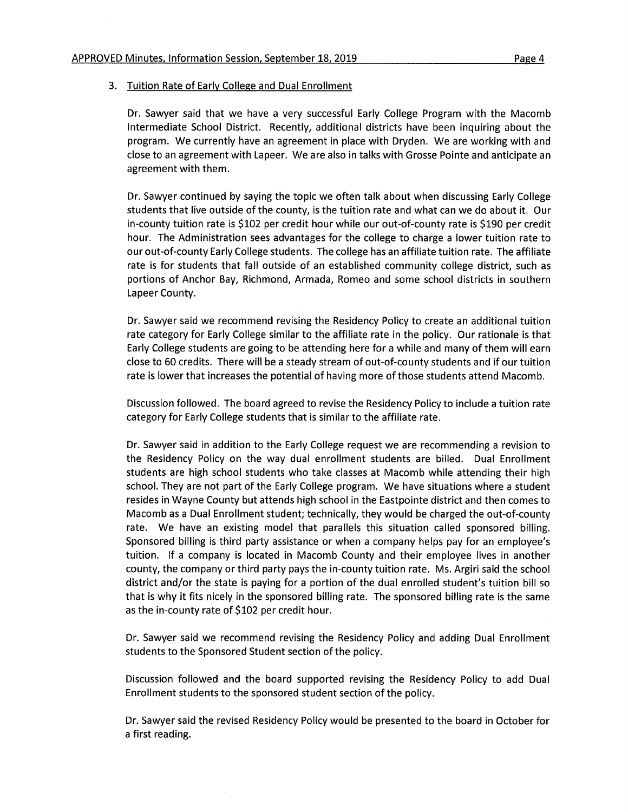#### 3. Tuition Rate of Early College and Dual Enrollment

Dr. Sawyer said that we have a very successful Early College Program with the Macomb Intermediate School District. Recently, additional districts have been inquiring about the program. We currently have an agreement in place with Dryden. We are working with and close to an agreement with Lapeer. We are also in talks with Grosse Pointe and anticipate an agreement with them.

Dr. Sawyer continued by saying the topic we often talk about when discussing Early College students that live outside of the county, is the tuition rate and what can we do about it. Our in-county tuition rate is \$102 per credit hour while our out-of-county rate is \$190 per credit hour. The Administration sees advantages for the college to charge a lower tuition rate to our out-of-county Early College students. The college has an affiliate tuition rate. The affiliate rate is for students that fall outside of an established community college district, such as portions of Anchor Bay, Richmond, Armada, Romeo and some school districts in southern Lapeer County.

Dr. Sawyer said we recommend revising the Residency Policy to create an additional tuition rate category for Early College similar to the affiliate rate in the policy. Our rationale is that Early College students are going to be attending here for a while and many of them will earn close to 60 credits. There will be a steady stream of out-of-county students and if our tuition rate is lower that increases the potential of having more of those students attend Macomb.

Discussion followed. The board agreed to revise the Residency Policy to include a tuition rate category for Early College students that is similar to the affiliate rate.

Dr. Sawyer said in addition to the Early College request we are recommending a revision to the Residency Policy on the way dual enrollment students are billed. Dual Enrollment students are high school students who take classes at Macomb while attending their high school. They are not part of the Early College program. We have situations where a student resides in Wayne County but attends high school in the Eastpointe district and then comes to Macomb as a Dual Enrollment student; technically, they would be charged the out-of-county rate. We have an existing model that parallels this situation called sponsored billing. Sponsored billing is third party assistance or when a company helps pay for an employee's tuition. If a company is located in Macomb County and their employee lives in another county, the company or third party pays the in-county tuition rate. Ms. Argiri said the school district and/or the state is paying for a portion of the dual enrolled student's tuition bill so that is why it fits nicely in the sponsored billing rate. The sponsored billing rate is the same as the in-county rate of \$102 per credit hour.

Dr. Sawyer said we recommend revising the Residency Policy and adding Dual Enrollment students to the Sponsored Student section of the policy.

Discussion followed and the board supported revising the Residency Policy to add Dual Enrollment students to the sponsored student section of the policy.

Dr. Sawyer said the revised Residency Policy would be presented to the board in October for a first reading.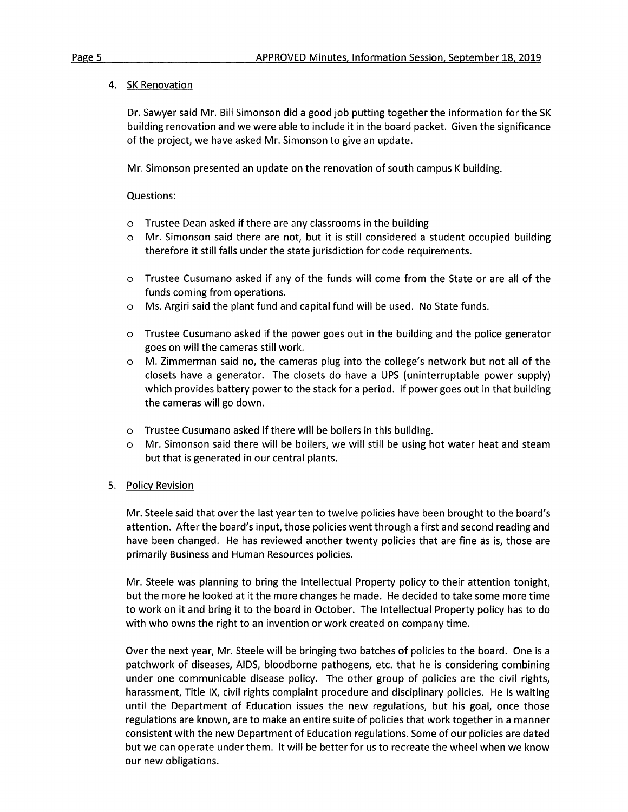4. SK Renovation

Dr. Sawyer said Mr. Bill Simonson did a good job putting together the information for the SK building renovation and we were able to include it in the board packet. Given the significance of the project, we have asked Mr. Simonson to give an update.

Mr. Simonson presented an update on the renovation of south campus K building.

Questions:

- o Trustee Dean asked if there are any classrooms in the building
- o Mr. Simonson said there are not, but it is still considered a student occupied building therefore it still falls under the state jurisdiction for code requirements.
- o Trustee Cusumano asked if any of the funds will come from the State or are all of the funds coming from operations.
- o Ms. Argiri said the plant fund and capital fund will be used. No State funds.
- o Trustee Cusumano asked if the power goes out in the building and the police generator goes on will the cameras still work.
- o M. Zimmerman said no, the cameras plug into the college's network but not all of the closets have a generator. The closets do have a UPS (uninterruptable power supply) which provides battery power to the stack for a period. If power goes out in that building the cameras will go down.
- o Trustee Cusumano asked if there will be boilers in this building.
- o Mr. Simonson said there will be boilers, we will still be using hot water heat and steam but that is generated in our central plants.

## 5. Policy Revision

Mr. Steele said that over the last year ten to twelve policies have been brought to the board's attention. After the board's input, those policies went through a first and second reading and have been changed. He has reviewed another twenty policies that are fine as is, those are primarily Business and Human Resources policies.

Mr. Steele was planning to bring the Intellectual Property policy to their attention tonight, but the more he looked at it the more changes he made. He decided to take some more time to work on it and bring it to the board in October. The Intellectual Property policy has to do with who owns the right to an invention or work created on company time.

Over the next year, Mr. Steele will be bringing two batches of policies to the board. One is a patchwork of diseases, AIDS, bloodborne pathogens, etc. that he is considering combining under one communicable disease policy. The other group of policies are the civil rights, harassment, Title IX, civil rights complaint procedure and disciplinary policies. He is waiting until the Department of Education issues the new regulations, but his goal, once those regulations are known, are to make an entire suite of policies that work together in a manner consistent with the new Department of Education regulations. Some of our policies are dated but we can operate under them. It will be better for us to recreate the wheel when we know our new obligations.